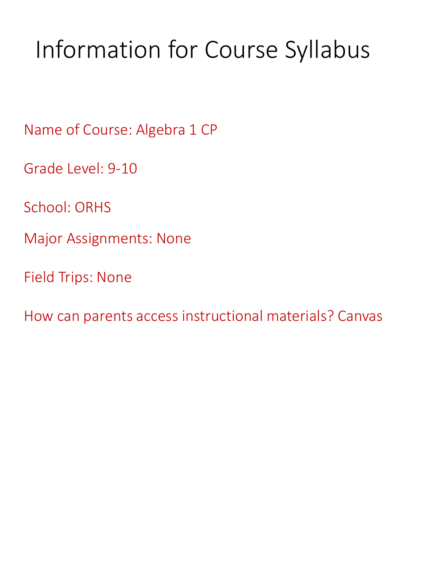# Information for Course Syllabus

Name of Course: Algebra 1 CP

Grade Level: 9-10

School: ORHS

Major Assignments: None

Field Trips: None

How can parents access instructional materials? Canvas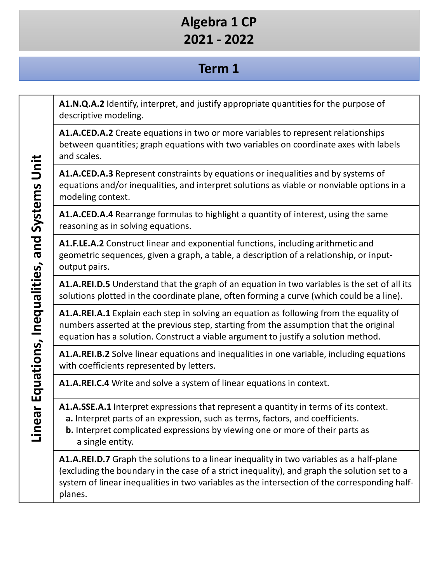# **Term 1**

**A1.N.Q.A.2** Identify, interpret, and justify appropriate quantities for the purpose of descriptive modeling.

**A1.A.CED.A.2** Create equations in two or more variables to represent relationships between quantities; graph equations with two variables on coordinate axes with labels and scales.

**A1.A.CED.A.3** Represent constraints by equations or inequalities and by systems of equations and/or inequalities, and interpret solutions as viable or nonviable options in a modeling context.

**A1.A.CED.A.4** Rearrange formulas to highlight a quantity of interest, using the same reasoning as in solving equations.

**A1.F.LE.A.2** Construct linear and exponential functions, including arithmetic and geometric sequences, given a graph, a table, a description of a relationship, or inputoutput pairs.

**A1.A.REI.D.5** Understand that the graph of an equation in two variables is the set of all its solutions plotted in the coordinate plane, often forming a curve (which could be a line).

**A1.A.REI.A.1** Explain each step in solving an equation as following from the equality of numbers asserted at the previous step, starting from the assumption that the original equation has a solution. Construct a viable argument to justify a solution method.

**A1.A.REI.B.2** Solve linear equations and inequalities in one variable, including equations with coefficients represented by letters.

**A1.A.REI.C.4** Write and solve a system of linear equations in context.

**A1.A.SSE.A.1** Interpret expressions that represent a quantity in terms of its context.

- **a.** Interpret parts of an expression, such as terms, factors, and coefficients.
- **b.** Interpret complicated expressions by viewing one or more of their parts as a single entity.

**A1.A.REI.D.7** Graph the solutions to a linear inequality in two variables as a half-plane (excluding the boundary in the case of a strict inequality), and graph the solution set to a system of linear inequalities in two variables as the intersection of the corresponding halfplanes.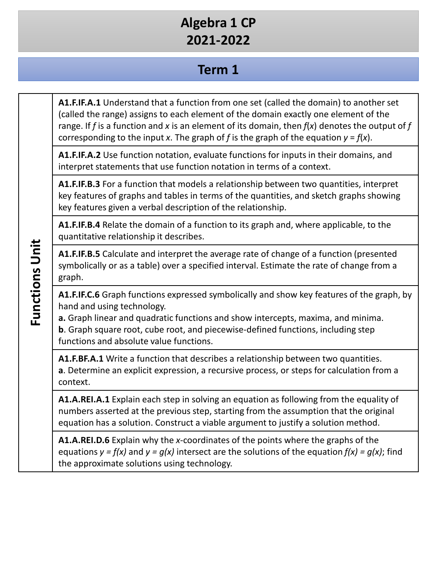# **Term 1**

**A1.F.IF.A.1** Understand that a function from one set (called the domain) to another set (called the range) assigns to each element of the domain exactly one element of the range. If *f* is a function and *x* is an element of its domain, then *f*(*x*) denotes the output of *f*  corresponding to the input *x*. The graph of *f* is the graph of the equation  $y = f(x)$ .

**A1.F.IF.A.2** Use function notation, evaluate functions for inputs in their domains, and interpret statements that use function notation in terms of a context.

**A1.F.IF.B.3** For a function that models a relationship between two quantities, interpret key features of graphs and tables in terms of the quantities, and sketch graphs showing key features given a verbal description of the relationship.

**A1.F.IF.B.4** Relate the domain of a function to its graph and, where applicable, to the quantitative relationship it describes.

**A1.F.IF.B.5** Calculate and interpret the average rate of change of a function (presented symbolically or as a table) over a specified interval. Estimate the rate of change from a graph.

**A1.F.IF.C.6** Graph functions expressed symbolically and show key features of the graph, by hand and using technology.

**a.** Graph linear and quadratic functions and show intercepts, maxima, and minima. **b**. Graph square root, cube root, and piecewise-defined functions, including step functions and absolute value functions.

**A1.F.BF.A.1** Write a function that describes a relationship between two quantities. **a**. Determine an explicit expression, a recursive process, or steps for calculation from a context.

**A1.A.REI.A.1** Explain each step in solving an equation as following from the equality of numbers asserted at the previous step, starting from the assumption that the original equation has a solution. Construct a viable argument to justify a solution method.

**A1.A.REI.D.6** Explain why the *x*-coordinates of the points where the graphs of the equations  $y = f(x)$  and  $y = g(x)$  intersect are the solutions of the equation  $f(x) = g(x)$ ; find the approximate solutions using technology.

**Functions Unit Functions Unit**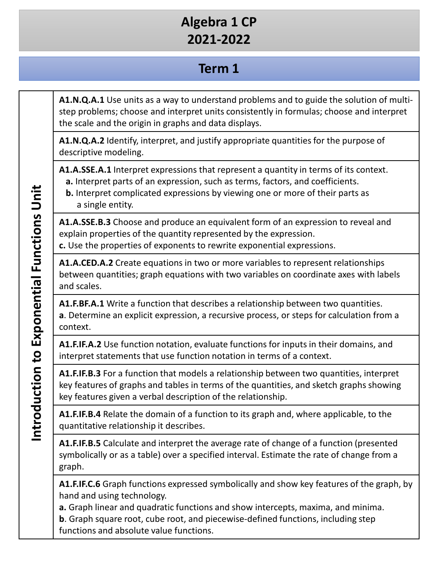# **Term 1**

**A1.N.Q.A.1** Use units as a way to understand problems and to guide the solution of multistep problems; choose and interpret units consistently in formulas; choose and interpret the scale and the origin in graphs and data displays.

**A1.N.Q.A.2** Identify, interpret, and justify appropriate quantities for the purpose of descriptive modeling.

**A1.A.SSE.A.1** Interpret expressions that represent a quantity in terms of its context.

- **a.** Interpret parts of an expression, such as terms, factors, and coefficients.
- **b.** Interpret complicated expressions by viewing one or more of their parts as a single entity.

**A1.A.SSE.B.3** Choose and produce an equivalent form of an expression to reveal and explain properties of the quantity represented by the expression.

**c.** Use the properties of exponents to rewrite exponential expressions.

**A1.A.CED.A.2** Create equations in two or more variables to represent relationships between quantities; graph equations with two variables on coordinate axes with labels and scales.

**A1.F.BF.A.1** Write a function that describes a relationship between two quantities. **a**. Determine an explicit expression, a recursive process, or steps for calculation from a context.

**A1.F.IF.A.2** Use function notation, evaluate functions for inputs in their domains, and interpret statements that use function notation in terms of a context.

**A1.F.IF.B.3** For a function that models a relationship between two quantities, interpret key features of graphs and tables in terms of the quantities, and sketch graphs showing key features given a verbal description of the relationship.

**A1.F.IF.B.4** Relate the domain of a function to its graph and, where applicable, to the quantitative relationship it describes.

**A1.F.IF.B.5** Calculate and interpret the average rate of change of a function (presented symbolically or as a table) over a specified interval. Estimate the rate of change from a graph.

**A1.F.IF.C.6** Graph functions expressed symbolically and show key features of the graph, by hand and using technology.

**a.** Graph linear and quadratic functions and show intercepts, maxima, and minima. **b**. Graph square root, cube root, and piecewise-defined functions, including step functions and absolute value functions.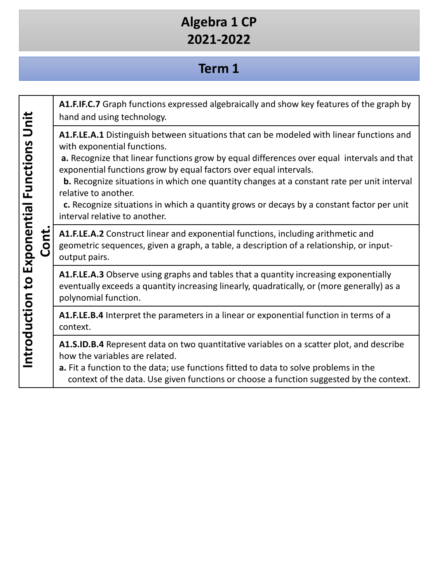#### **Term 1**

**A1.F.IF.C.7** Graph functions expressed algebraically and show key features of the graph by **Introduction to Exponential Functions Unit**  Introduction to Exponential Functions Unit hand and using technology. **A1.F.LE.A.1** Distinguish between situations that can be modeled with linear functions and with exponential functions. **a.** Recognize that linear functions grow by equal differences over equal intervals and that exponential functions grow by equal factors over equal intervals. **b.** Recognize situations in which one quantity changes at a constant rate per unit interval relative to another. **c.** Recognize situations in which a quantity grows or decays by a constant factor per unit interval relative to another. **Cont. A1.F.LE.A.2** Construct linear and exponential functions, including arithmetic and geometric sequences, given a graph, a table, a description of a relationship, or inputoutput pairs. **A1.F.LE.A.3** Observe using graphs and tables that a quantity increasing exponentially eventually exceeds a quantity increasing linearly, quadratically, or (more generally) as a polynomial function. **A1.F.LE.B.4** Interpret the parameters in a linear or exponential function in terms of a context. **A1.S.ID.B.4** Represent data on two quantitative variables on a scatter plot, and describe how the variables are related. **a.** Fit a function to the data; use functions fitted to data to solve problems in the context of the data. Use given functions or choose a function suggested by the context.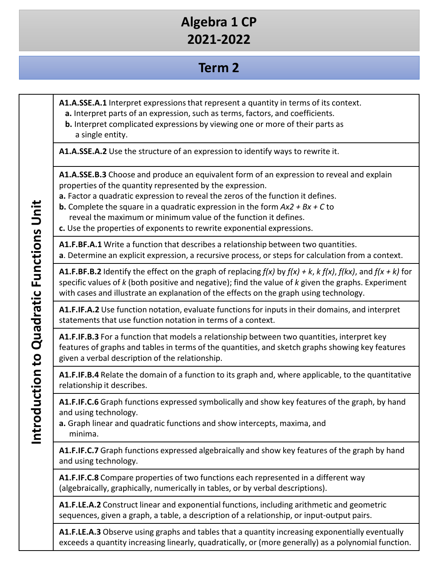# **Term 2**

**A1.A.SSE.A.1** Interpret expressions that represent a quantity in terms of its context.

- **a.** Interpret parts of an expression, such as terms, factors, and coefficients.
- **b.** Interpret complicated expressions by viewing one or more of their parts as a single entity.

**A1.A.SSE.A.2** Use the structure of an expression to identify ways to rewrite it.

**A1.A.SSE.B.3** Choose and produce an equivalent form of an expression to reveal and explain properties of the quantity represented by the expression.

**a.** Factor a quadratic expression to reveal the zeros of the function it defines.

**b.** Complete the square in a quadratic expression in the form *Ax2 + Bx + C* to reveal the maximum or minimum value of the function it defines.

**c.** Use the properties of exponents to rewrite exponential expressions.

**A1.F.BF.A.1** Write a function that describes a relationship between two quantities. **a**. Determine an explicit expression, a recursive process, or steps for calculation from a context.

**A1.F.BF.B.2** Identify the effect on the graph of replacing *f(x)* by *f(x) + k*, *k f(x)*, *f(kx)*, and *f(x + k)* for specific values of *k* (both positive and negative); find the value of *k* given the graphs. Experiment with cases and illustrate an explanation of the effects on the graph using technology.

**A1.F.IF.A.2** Use function notation, evaluate functions for inputs in their domains, and interpret statements that use function notation in terms of a context.

**A1.F.IF.B.3** For a function that models a relationship between two quantities, interpret key features of graphs and tables in terms of the quantities, and sketch graphs showing key features given a verbal description of the relationship.

**A1.F.IF.B.4** Relate the domain of a function to its graph and, where applicable, to the quantitative relationship it describes.

**A1.F.IF.C.6** Graph functions expressed symbolically and show key features of the graph, by hand and using technology.

**a.** Graph linear and quadratic functions and show intercepts, maxima, and minima.

**A1.F.IF.C.7** Graph functions expressed algebraically and show key features of the graph by hand and using technology.

**A1.F.IF.C.8** Compare properties of two functions each represented in a different way (algebraically, graphically, numerically in tables, or by verbal descriptions).

**A1.F.LE.A.2** Construct linear and exponential functions, including arithmetic and geometric sequences, given a graph, a table, a description of a relationship, or input-output pairs.

**A1.F.LE.A.3** Observe using graphs and tables that a quantity increasing exponentially eventually exceeds a quantity increasing linearly, quadratically, or (more generally) as a polynomial function.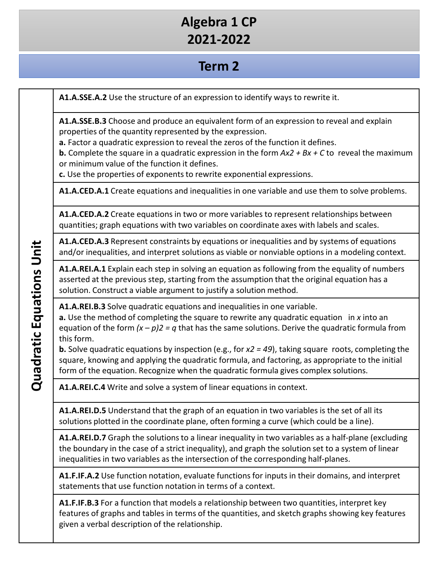# **Term 2**

**A1.A.SSE.A.2** Use the structure of an expression to identify ways to rewrite it.

**A1.A.SSE.B.3** Choose and produce an equivalent form of an expression to reveal and explain properties of the quantity represented by the expression.

**a.** Factor a quadratic expression to reveal the zeros of the function it defines.

**b.** Complete the square in a quadratic expression in the form *Ax2 + Bx + C* to reveal the maximum or minimum value of the function it defines.

**c.** Use the properties of exponents to rewrite exponential expressions.

**A1.A.CED.A.1** Create equations and inequalities in one variable and use them to solve problems.

**A1.A.CED.A.2** Create equations in two or more variables to represent relationships between quantities; graph equations with two variables on coordinate axes with labels and scales.

**A1.A.CED.A.3** Represent constraints by equations or inequalities and by systems of equations and/or inequalities, and interpret solutions as viable or nonviable options in a modeling context.

**A1.A.REI.A.1** Explain each step in solving an equation as following from the equality of numbers asserted at the previous step, starting from the assumption that the original equation has a solution. Construct a viable argument to justify a solution method.

**A1.A.REI.B.3** Solve quadratic equations and inequalities in one variable.

**a.** Use the method of completing the square to rewrite any quadratic equation in *x* into an equation of the form *(x – p)2 = q* that has the same solutions. Derive the quadratic formula from this form.

**b.** Solve quadratic equations by inspection (e.g., for *x2 = 49*), taking square roots, completing the square, knowing and applying the quadratic formula, and factoring, as appropriate to the initial form of the equation. Recognize when the quadratic formula gives complex solutions.

**A1.A.REI.C.4** Write and solve a system of linear equations in context.

**A1.A.REI.D.5** Understand that the graph of an equation in two variables is the set of all its solutions plotted in the coordinate plane, often forming a curve (which could be a line).

**A1.A.REI.D.7** Graph the solutions to a linear inequality in two variables as a half-plane (excluding the boundary in the case of a strict inequality), and graph the solution set to a system of linear inequalities in two variables as the intersection of the corresponding half-planes.

**A1.F.IF.A.2** Use function notation, evaluate functions for inputs in their domains, and interpret statements that use function notation in terms of a context.

**A1.F.IF.B.3** For a function that models a relationship between two quantities, interpret key features of graphs and tables in terms of the quantities, and sketch graphs showing key features given a verbal description of the relationship.